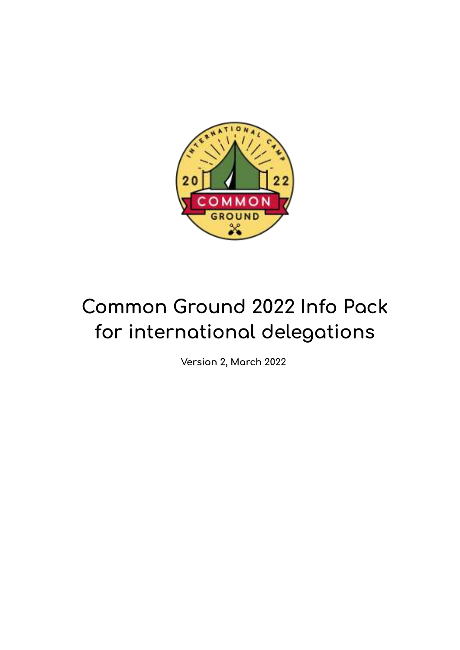

# **Common Ground 2022 Info Pack for international delegations**

**Version 2, March 2022**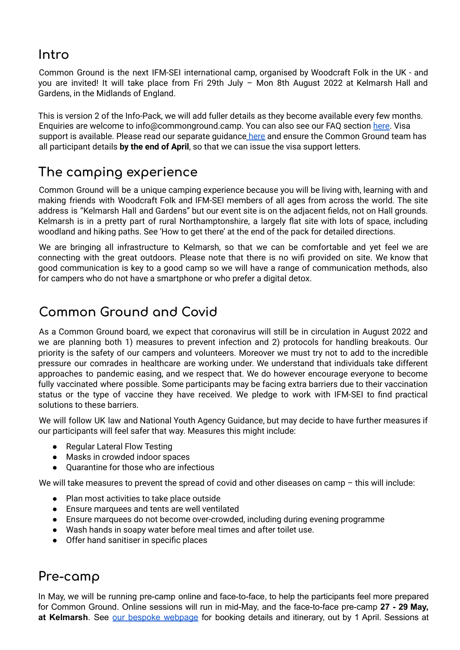#### **Intro**

Common Ground is the next IFM-SEI international camp, organised by Woodcraft Folk in the UK - and you are invited! It will take place from Fri 29th July – Mon 8th August 2022 at Kelmarsh Hall and Gardens, in the Midlands of England.

This is version 2 of the Info-Pack, we will add fuller details as they become available every few months. Enquiries are welcome to info@commonground.camp. You can also see our FAQ section [here.](https://www.commonground.camp/about/faqs/) Visa support is available. Please read our separate guidance [here](https://www.commonground.camp/about/international/coming-to-the-uk/) and ensure the Common Ground team has all participant details **by the end of April**, so that we can issue the visa support letters.

# **The camping experience**

Common Ground will be a unique camping experience because you will be living with, learning with and making friends with Woodcraft Folk and IFM-SEI members of all ages from across the world. The site address is "Kelmarsh Hall and Gardens" but our event site is on the adjacent fields, not on Hall grounds. Kelmarsh is in a pretty part of rural Northamptonshire, a largely flat site with lots of space, including woodland and hiking paths. See 'How to get there' at the end of the pack for detailed directions.

We are bringing all infrastructure to Kelmarsh, so that we can be comfortable and yet feel we are connecting with the great outdoors. Please note that there is no wifi provided on site. We know that good communication is key to a good camp so we will have a range of communication methods, also for campers who do not have a smartphone or who prefer a digital detox.

# **Common Ground and Covid**

As a Common Ground board, we expect that coronavirus will still be in circulation in August 2022 and we are planning both 1) measures to prevent infection and 2) protocols for handling breakouts. Our priority is the safety of our campers and volunteers. Moreover we must try not to add to the incredible pressure our comrades in healthcare are working under. We understand that individuals take different approaches to pandemic easing, and we respect that. We do however encourage everyone to become fully vaccinated where possible. Some participants may be facing extra barriers due to their vaccination status or the type of vaccine they have received. We pledge to work with IFM-SEI to find practical solutions to these barriers.

We will follow UK law and National Youth Agency Guidance, but may decide to have further measures if our participants will feel safer that way. Measures this might include:

- Regular Lateral Flow Testing
- Masks in crowded indoor spaces
- Quarantine for those who are infectious

We will take measures to prevent the spread of covid and other diseases on camp – this will include:

- Plan most activities to take place outside
- Ensure marquees and tents are well ventilated
- Ensure marquees do not become over-crowded, including during evening programme
- Wash hands in soapy water before meal times and after toilet use.
- Offer hand sanitiser in specific places

# **Pre-camp**

In May, we will be running pre-camp online and face-to-face, to help the participants feel more prepared for Common Ground. Online sessions will run in mid-May, and the face-to-face pre-camp **27 - 29 May, at Kelmarsh**. See our bespoke [webpage](https://www.commonground.camp/about/pre-camp/) for booking details and itinerary, out by 1 April. Sessions at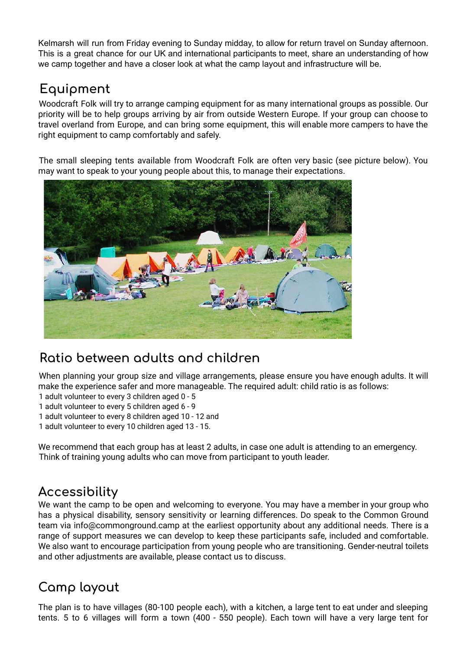Kelmarsh will run from Friday evening to Sunday midday, to allow for return travel on Sunday afternoon. This is a great chance for our UK and international participants to meet, share an understanding of how we camp together and have a closer look at what the camp layout and infrastructure will be.

# **Equipment**

Woodcraft Folk will try to arrange camping equipment for as many international groups as possible. Our priority will be to help groups arriving by air from outside Western Europe. If your group can choose to travel overland from Europe, and can bring some equipment, this will enable more campers to have the right equipment to camp comfortably and safely.

The small sleeping tents available from Woodcraft Folk are often very basic (see picture below). You may want to speak to your young people about this, to manage their expectations.



# **Ratio between adults and children**

When planning your group size and village arrangements, please ensure you have enough adults. It will make the experience safer and more manageable. The required adult: child ratio is as follows:

1 adult volunteer to every 3 children aged 0 - 5

1 adult volunteer to every 5 children aged 6 - 9

1 adult volunteer to every 8 children aged 10 - 12 and

1 adult volunteer to every 10 children aged 13 - 15.

We recommend that each group has at least 2 adults, in case one adult is attending to an emergency. Think of training young adults who can move from participant to youth leader.

#### **Accessibility**

We want the camp to be open and welcoming to everyone. You may have a member in your group who has a physical disability, sensory sensitivity or learning differences. Do speak to the Common Ground team via info@commonground.camp at the earliest opportunity about any additional needs. There is a range of support measures we can develop to keep these participants safe, included and comfortable. We also want to encourage participation from young people who are transitioning. Gender-neutral toilets and other adjustments are available, please contact us to discuss.

# **Camp layout**

The plan is to have villages (80-100 people each), with a kitchen, a large tent to eat under and sleeping tents. 5 to 6 villages will form a town (400 - 550 people). Each town will have a very large tent for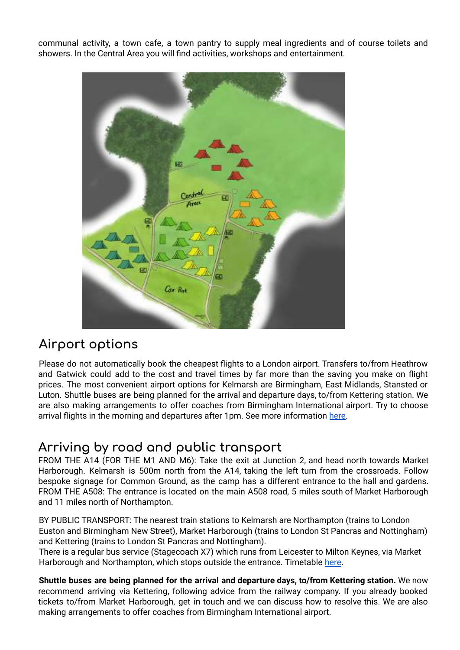communal activity, a town cafe, a town pantry to supply meal ingredients and of course toilets and showers. In the Central Area you will find activities, workshops and entertainment.



# **Airport options**

Please do not automatically book the cheapest flights to a London airport. Transfers to/from Heathrow and Gatwick could add to the cost and travel times by far more than the saving you make on flight prices. The most convenient airport options for Kelmarsh are Birmingham, East Midlands, Stansted or Luton. Shuttle buses are being planned for the arrival and departure days, to/from Kettering station. We are also making arrangements to offer coaches from Birmingham International airport. Try to choose arrival flights in the morning and departures after 1pm. See more information [here.](https://www.commonground.camp/wp-content/uploads/2022/02/Airports-Info-CG.pdf)

# **Arriving by road and public transport**

FROM THE A14 (FOR THE M1 AND M6): Take the exit at Junction 2, and head north towards Market Harborough. Kelmarsh is 500m north from the A14, taking the left turn from the crossroads. Follow bespoke signage for Common Ground, as the camp has a different entrance to the hall and gardens. FROM THE A508: The entrance is located on the main A508 road, 5 miles south of Market Harborough and 11 miles north of Northampton.

BY PUBLIC TRANSPORT: The nearest train stations to Kelmarsh are Northampton (trains to London Euston and Birmingham New Street), Market Harborough (trains to London St Pancras and Nottingham) and Kettering (trains to London St Pancras and Nottingham).

There is a regular bus service (Stagecoach X7) which runs from Leicester to Milton Keynes, via Market Harborough and Northampton, which stops outside the entrance. Timetable here.

**Shuttle buses are being planned for the arrival and departure days, to/from Kettering station.** We now recommend arriving via Kettering, following advice from the railway company. If you already booked tickets to/from Market Harborough, get in touch and we can discuss how to resolve this. We are also making arrangements to offer coaches from Birmingham International airport.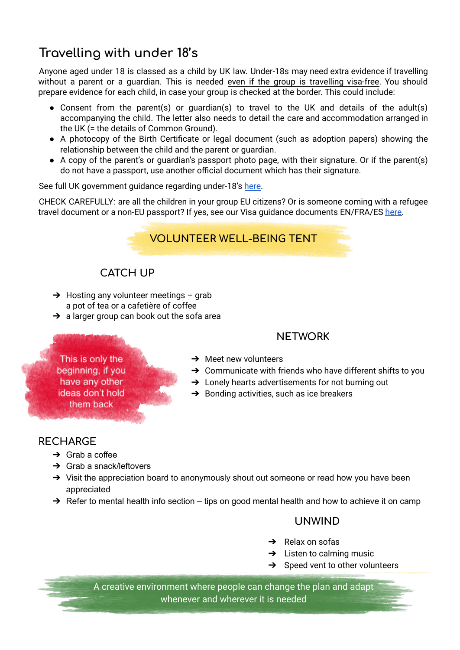# **Travelling with under 18's**

Anyone aged under 18 is classed as a child by UK law. Under-18s may need extra evidence if travelling without a parent or a guardian. This is needed even if the group is travelling visa-free. You should prepare evidence for each child, in case your group is checked at the border. This could include:

- Consent from the parent(s) or guardian(s) to travel to the UK and details of the adult(s) accompanying the child. The letter also needs to detail the care and accommodation arranged in the UK (= the details of Common Ground).
- A photocopy of the Birth Certificate or legal document (such as adoption papers) showing the relationship between the child and the parent or guardian.
- A copy of the parent's or quardian's passport photo page, with their signature. Or if the parent(s) do not have a passport, use another official document which has their signature.

See full UK government guidance regarding under-18's [here](https://www.gov.uk/standard-visitor/if-youre-under-18).

CHECK CAREFULLY: are all the children in your group EU citizens? Or is someone coming with a refugee travel document or a non-EU passport? If yes, see our Visa guidance documents EN/FRA/ES [here.](https://www.commonground.camp/about/international/coming-to-the-uk/)



#### **CATCH UP**

- $\rightarrow$  Hosting any volunteer meetings grab a pot of tea or a cafetière of coffee
- $\rightarrow$  a larger group can book out the sofa area

#### **NETWORK**

- This is only the beginning, if you have any other ideas don't hold them back
- $\rightarrow$  Meet new volunteers
- $\rightarrow$  Communicate with friends who have different shifts to you
- → Lonely hearts advertisements for not burning out
- $\rightarrow$  Bonding activities, such as ice breakers

#### **RECHARGE**

- $\rightarrow$  Grab a coffee
- $\rightarrow$  Grab a snack/leftovers
- → Visit the appreciation board to anonymously shout out someone or read how you have been appreciated
- $\rightarrow$  Refer to mental health info section tips on good mental health and how to achieve it on camp

#### **UNWIND**

- $\rightarrow$  Relax on sofas
- $\rightarrow$  Listen to calming music
- $\rightarrow$  Speed vent to other volunteers

A creative environment where people can change the plan and adapt whenever and wherever it is needed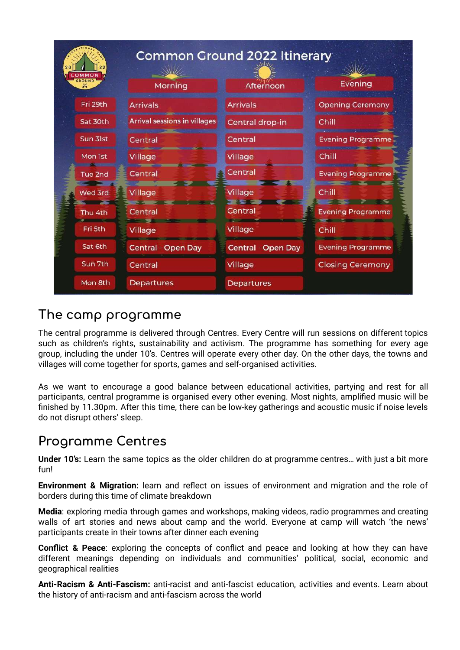| COMMON |             | <b>Common Ground 2022 Itinerary</b> |                           |                          |
|--------|-------------|-------------------------------------|---------------------------|--------------------------|
|        | GROUND<br>× | Morning                             | Afternoon                 | Evening                  |
|        | Fri 29th    | <b>Arrivals</b>                     | <b>Arrivals</b>           | <b>Opening Ceremony</b>  |
|        | Sat 30th    | <b>Arrival sessions in villages</b> | Central drop-in           | Chill                    |
|        | Sun 31st    | Central                             | Central                   | <b>Evening Programme</b> |
|        | Mon 1st     | Village                             | Village                   | Chill                    |
|        | Tue 2nd     | Central                             | Central                   | <b>Evening Programme</b> |
|        | Wed 3rd     | Village                             | Village                   | Chill                    |
|        | Thu 4th     | Central                             | Central                   | <b>Evening Programme</b> |
|        | Fri 5th     | Village                             | Village                   | Chill                    |
|        | Sat 6th     | <b>Central - Open Day</b>           | <b>Central - Open Day</b> | <b>Evening Programme</b> |
|        | Sun 7th     | Central                             | Village                   | <b>Closing Ceremony</b>  |
|        | Mon 8th     | <b>Departures</b>                   | <b>Departures</b>         |                          |

#### **The camp programme**

The central programme is delivered through Centres. Every Centre will run sessions on different topics such as children's rights, sustainability and activism. The programme has something for every age group, including the under 10's. Centres will operate every other day. On the other days, the towns and villages will come together for sports, games and self-organised activities.

As we want to encourage a good balance between educational activities, partying and rest for all participants, central programme is organised every other evening. Most nights, amplified music will be finished by 11.30pm. After this time, there can be low-key gatherings and acoustic music if noise levels do not disrupt others' sleep.

# **Programme Centres**

**Under 10's:** Learn the same topics as the older children do at programme centres… with just a bit more fun!

**Environment & Migration:** learn and reflect on issues of environment and migration and the role of borders during this time of climate breakdown

**Media**: exploring media through games and workshops, making videos, radio programmes and creating walls of art stories and news about camp and the world. Everyone at camp will watch 'the news' participants create in their towns after dinner each evening

**Conflict & Peace**: exploring the concepts of conflict and peace and looking at how they can have different meanings depending on individuals and communities' political, social, economic and geographical realities

**Anti-Racism & Anti-Fascism:** anti-racist and anti-fascist education, activities and events. Learn about the history of anti-racism and anti-fascism across the world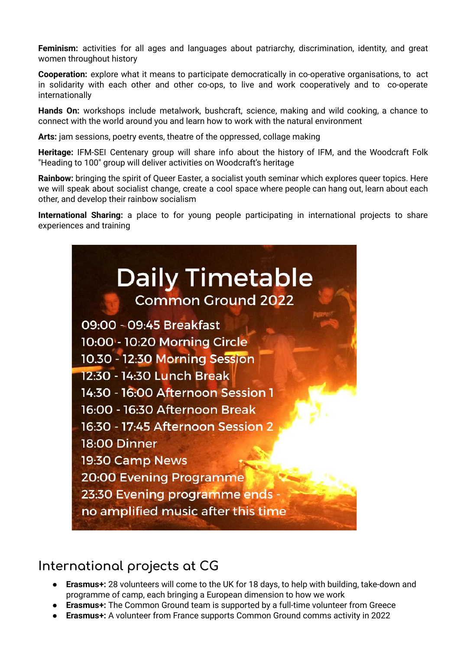**Feminism:** activities for all ages and languages about patriarchy, discrimination, identity, and great women throughout history

**Cooperation:** explore what it means to participate democratically in co-operative organisations, to act in solidarity with each other and other co-ops, to live and work cooperatively and to co-operate internationally

**Hands On:** workshops include metalwork, bushcraft, science, making and wild cooking, a chance to connect with the world around you and learn how to work with the natural environment

**Arts:** jam sessions, poetry events, theatre of the oppressed, collage making

**Heritage:** IFM-SEI Centenary group will share info about the history of IFM, and the Woodcraft Folk "Heading to 100" group will deliver activities on Woodcraft's heritage

**Rainbow:** bringing the spirit of Queer Easter, a socialist youth seminar which explores queer topics. Here we will speak about socialist change, create a cool space where people can hang out, learn about each other, and develop their rainbow socialism

**International Sharing:** a place to for young people participating in international projects to share experiences and training



#### **International projects at CG**

- **Erasmus+:** 28 volunteers will come to the UK for 18 days, to help with building, take-down and programme of camp, each bringing a European dimension to how we work
- **Erasmus+:** The Common Ground team is supported by a full-time volunteer from Greece
- **Erasmus+:** A volunteer from France supports Common Ground comms activity in 2022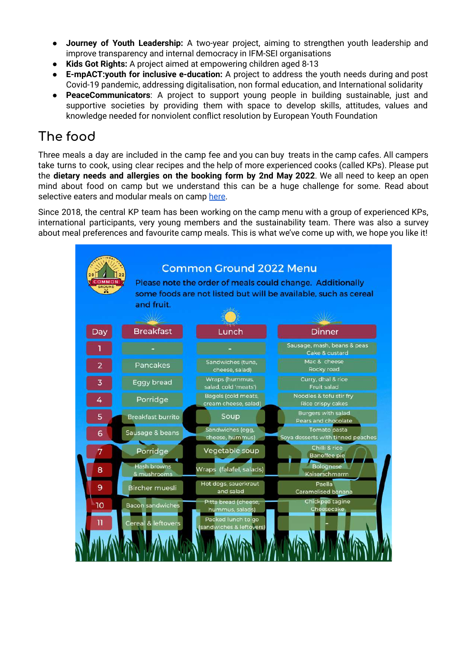- **Journey of Youth Leadership:** A two-year project, aiming to strengthen youth leadership and improve transparency and internal democracy in IFM-SEI organisations
- **Kids Got Rights:** A project aimed at empowering children aged 8-13
- **E-mpACT:youth for inclusive e-ducation:** A project to address the youth needs during and post Covid-19 pandemic, addressing digitalisation, non formal education, and International solidarity
- **PeaceCommunicators:** A project to support young people in building sustainable, just and supportive societies by providing them with space to develop skills, attitudes, values and knowledge needed for nonviolent conflict resolution by European Youth Foundation

# **The food**

Three meals a day are included in the camp fee and you can buy treats in the camp cafes. All campers take turns to cook, using clear recipes and the help of more experienced cooks (called KPs). Please put the **dietary needs and allergies on the booking form by 2nd May 2022**. We all need to keep an open mind about food on camp but we understand this can be a huge challenge for some. Read about selective eaters and modular meals on camp [here](https://www.commonground.camp/food/).

Since 2018, the central KP team has been working on the camp menu with a group of experienced KPs, international participants, very young members and the sustainability team. There was also a survey about meal preferences and favourite camp meals. This is what we've come up with, we hope you like it!

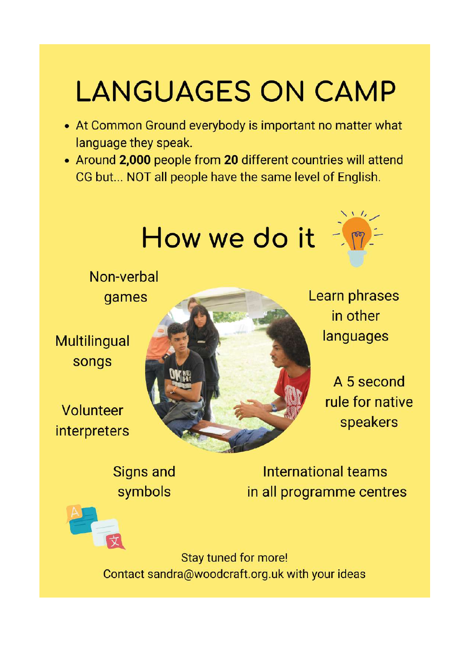# **LANGUAGES ON CAMP**

- At Common Ground everybody is important no matter what language they speak.
- Around 2,000 people from 20 different countries will attend CG but... NOT all people have the same level of English.

# How we do it



Non-verbal games

**Multilingual** songs

Volunteer interpreters



Learn phrases in other languages

> A 5 second rule for native speakers

**Signs and** symbols

International teams in all programme centres

Stay tuned for more! Contact sandra@woodcraft.org.uk with your ideas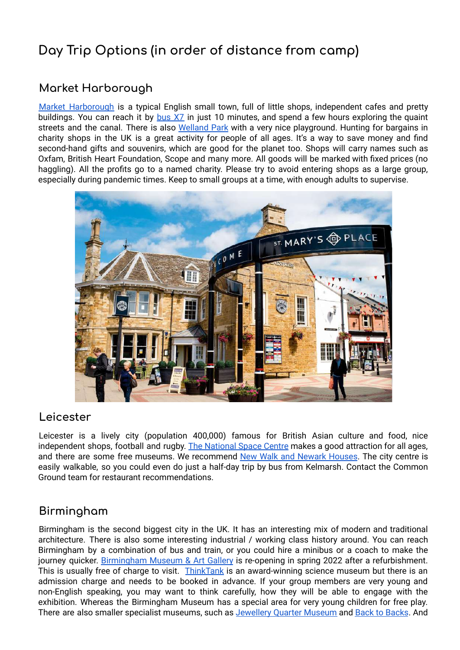# **Day Trip Options (in order of distance from camp)**

#### **Market Harborough**

Market [Harborough](https://visitharborough.com/) is a typical English small town, full of little shops, independent cafes and pretty buildings. You can reach it by [bus](https://tiscon-maps-stagecoachbus.s3.amazonaws.com/Timetables/Midlands/Northampton%20Timetables/NNX7%20TT%20BRAND%20220130.pdf) X7 in just 10 minutes, and spend a few hours exploring the quaint streets and the canal. There is also [Welland](https://www.harborough.gov.uk/welland-park) Park with a very nice playground. Hunting for bargains in charity shops in the UK is a great activity for people of all ages. It's a way to save money and find second-hand gifts and souvenirs, which are good for the planet too. Shops will carry names such as Oxfam, British Heart Foundation, Scope and many more. All goods will be marked with fixed prices (no haggling). All the profits go to a named charity. Please try to avoid entering shops as a large group, especially during pandemic times. Keep to small groups at a time, with enough adults to supervise.



#### **Leicester**

Leicester is a lively city (population 400,000) famous for British Asian culture and food, nice independent shops, football and rugby. The [National](https://spacecentre.co.uk/) Space Centre makes a good attraction for all ages, and there are some free museums. We recommend New Walk and [Newark](https://www.leicestermuseums.org/about/) Houses. The city centre is easily walkable, so you could even do just a half-day trip by bus from Kelmarsh. Contact the Common Ground team for restaurant recommendations.

#### **Birmingham**

Birmingham is the second biggest city in the UK. It has an interesting mix of modern and traditional architecture. There is also some interesting industrial / working class history around. You can reach Birmingham by a combination of bus and train, or you could hire a minibus or a coach to make the journey quicker. [Birmingham](https://www.birminghammuseums.org.uk/bmag/) Museum & Art Gallery is re-opening in spring 2022 after a refurbishment. This is usually free of charge to visit. [ThinkTank](https://www.birminghammuseums.org.uk/thinktank) is an award-winning science museum but there is an admission charge and needs to be booked in advance. If your group members are very young and non-English speaking, you may want to think carefully, how they will be able to engage with the exhibition. Whereas the Birmingham Museum has a special area for very young children for free play. There are also smaller specialist museums, such as [Jewellery](https://www.birminghammuseums.org.uk/jewellery) Quarter Museum and Back to [Backs](https://www.nationaltrust.org.uk/birmingham-back-to-backs). And